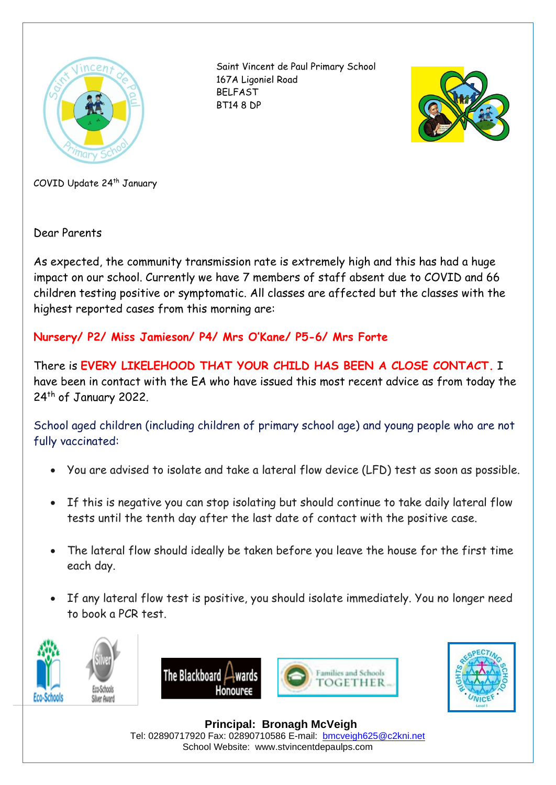

Saint Vincent de Paul Primary School 167A Ligoniel Road BELFAST BT14 8 DP



COVID Update 24th January

Dear Parents

As expected, the community transmission rate is extremely high and this has had a huge impact on our school. Currently we have 7 members of staff absent due to COVID and 66 children testing positive or symptomatic. All classes are affected but the classes with the highest reported cases from this morning are:

## **Nursery/ P2/ Miss Jamieson/ P4/ Mrs O'Kane/ P5-6/ Mrs Forte**

There is **EVERY LIKELEHOOD THAT YOUR CHILD HAS BEEN A CLOSE CONTACT.** I have been in contact with the EA who have issued this most recent advice as from today the 24<sup>th</sup> of January 2022.

School aged children (including children of primary school age) and young people who are not fully vaccinated:

- You are advised to isolate and take a lateral flow device (LFD) test as soon as possible.
- If this is negative you can stop isolating but should continue to take daily lateral flow tests until the tenth day after the last date of contact with the positive case.
- The lateral flow should ideally be taken before you leave the house for the first time each day.
- If any lateral flow test is positive, you should isolate immediately. You no longer need to book a PCR test.











 **Principal: Bronagh McVeigh** Tel: 02890717920 Fax: 02890710586 E-mail: [bmcveigh625@c2kni.net](mailto:bmcveigh625@c2kni.net) School Website: www.stvincentdepaulps.com